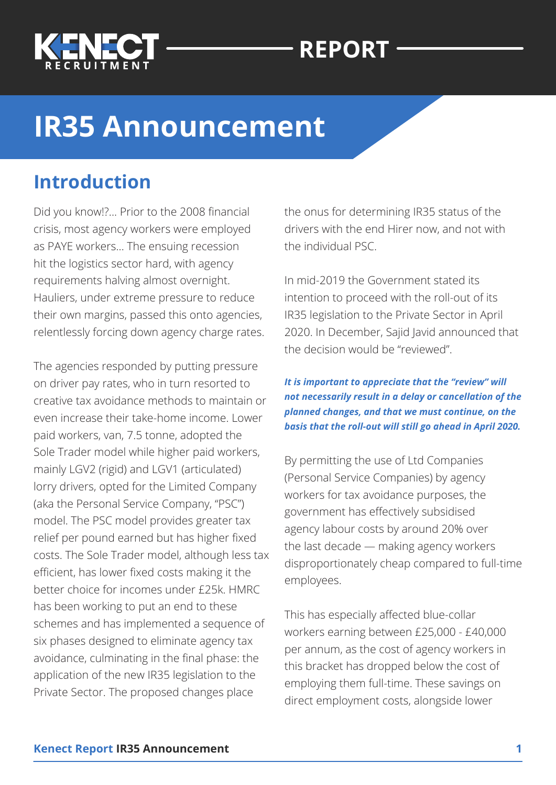

# **REPORT**

# **IR35 Announcement**

### **Introduction**

Did you know!?... Prior to the 2008 financial crisis, most agency workers were employed as PAYE workers... The ensuing recession hit the logistics sector hard, with agency requirements halving almost overnight. Hauliers, under extreme pressure to reduce their own margins, passed this onto agencies, relentlessly forcing down agency charge rates.

The agencies responded by putting pressure on driver pay rates, who in turn resorted to creative tax avoidance methods to maintain or even increase their take-home income. Lower paid workers, van, 7.5 tonne, adopted the Sole Trader model while higher paid workers, mainly LGV2 (rigid) and LGV1 (articulated) lorry drivers, opted for the Limited Company (aka the Personal Service Company, "PSC") model. The PSC model provides greater tax relief per pound earned but has higher fixed costs. The Sole Trader model, although less tax efficient, has lower fixed costs making it the better choice for incomes under £25k. HMRC has been working to put an end to these schemes and has implemented a sequence of six phases designed to eliminate agency tax avoidance, culminating in the final phase: the application of the new IR35 legislation to the Private Sector. The proposed changes place

the onus for determining IR35 status of the drivers with the end Hirer now, and not with the individual PSC.

In mid-2019 the Government stated its intention to proceed with the roll-out of its IR35 legislation to the Private Sector in April 2020. In December, Sajid Javid announced that the decision would be "reviewed".

#### *It is important to appreciate that the "review" will not necessarily result in a delay or cancellation of the planned changes, and that we must continue, on the basis that the roll-out will still go ahead in April 2020.*

By permitting the use of Ltd Companies (Personal Service Companies) by agency workers for tax avoidance purposes, the government has effectively subsidised agency labour costs by around 20% over the last decade — making agency workers disproportionately cheap compared to full-time employees.

This has especially affected blue-collar workers earning between £25,000 - £40,000 per annum, as the cost of agency workers in this bracket has dropped below the cost of employing them full-time. These savings on direct employment costs, alongside lower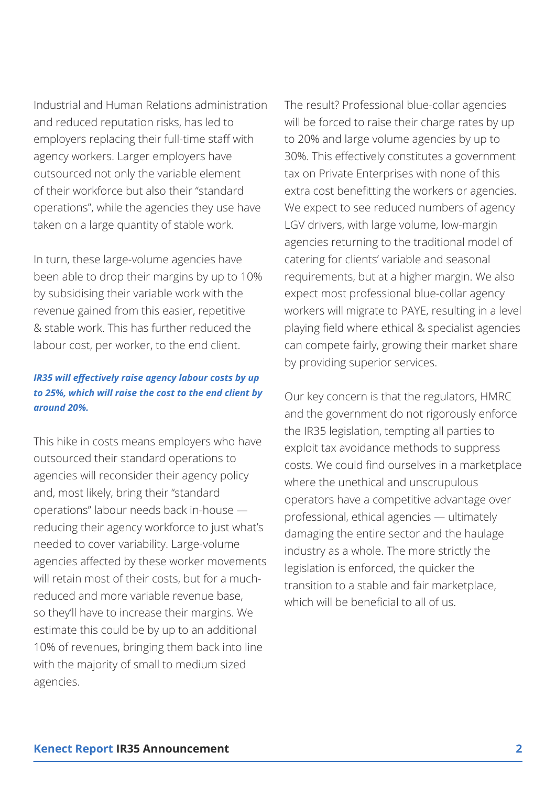Industrial and Human Relations administration and reduced reputation risks, has led to employers replacing their full-time staff with agency workers. Larger employers have outsourced not only the variable element of their workforce but also their "standard operations", while the agencies they use have taken on a large quantity of stable work.

In turn, these large-volume agencies have been able to drop their margins by up to 10% by subsidising their variable work with the revenue gained from this easier, repetitive & stable work. This has further reduced the labour cost, per worker, to the end client.

#### *IR35 will effectively raise agency labour costs by up to 25%, which will raise the cost to the end client by around 20%.*

This hike in costs means employers who have outsourced their standard operations to agencies will reconsider their agency policy and, most likely, bring their "standard operations" labour needs back in-house reducing their agency workforce to just what's needed to cover variability. Large-volume agencies affected by these worker movements will retain most of their costs, but for a muchreduced and more variable revenue base, so they'll have to increase their margins. We estimate this could be by up to an additional 10% of revenues, bringing them back into line with the majority of small to medium sized agencies.

The result? Professional blue-collar agencies will be forced to raise their charge rates by up to 20% and large volume agencies by up to 30%. This effectively constitutes a government tax on Private Enterprises with none of this extra cost benefitting the workers or agencies. We expect to see reduced numbers of agency LGV drivers, with large volume, low-margin agencies returning to the traditional model of catering for clients' variable and seasonal requirements, but at a higher margin. We also expect most professional blue-collar agency workers will migrate to PAYE, resulting in a level playing field where ethical & specialist agencies can compete fairly, growing their market share by providing superior services.

Our key concern is that the regulators, HMRC and the government do not rigorously enforce the IR35 legislation, tempting all parties to exploit tax avoidance methods to suppress costs. We could find ourselves in a marketplace where the unethical and unscrupulous operators have a competitive advantage over professional, ethical agencies — ultimately damaging the entire sector and the haulage industry as a whole. The more strictly the legislation is enforced, the quicker the transition to a stable and fair marketplace, which will be beneficial to all of us.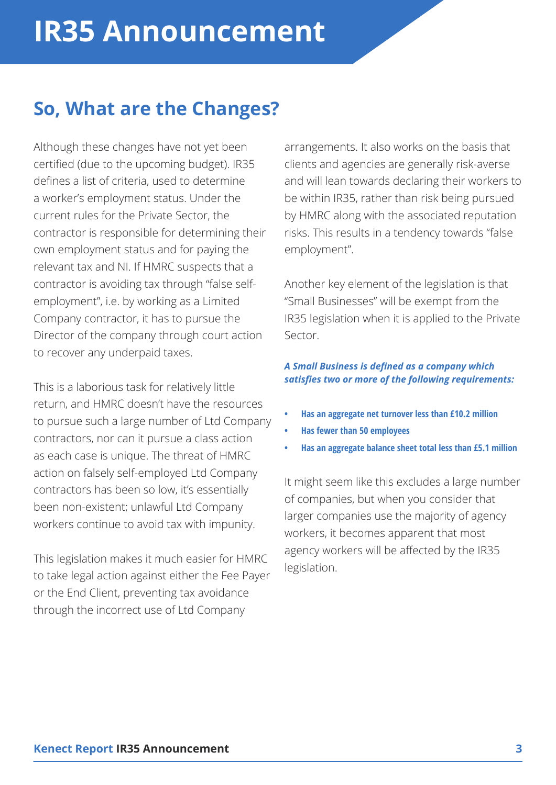# **So, What are the Changes?**

Although these changes have not yet been certified (due to the upcoming budget). IR35 defines a list of criteria, used to determine a worker's employment status. Under the current rules for the Private Sector, the contractor is responsible for determining their own employment status and for paying the relevant tax and NI. If HMRC suspects that a contractor is avoiding tax through "false selfemployment", i.e. by working as a Limited Company contractor, it has to pursue the Director of the company through court action to recover any underpaid taxes.

This is a laborious task for relatively little return, and HMRC doesn't have the resources to pursue such a large number of Ltd Company contractors, nor can it pursue a class action as each case is unique. The threat of HMRC action on falsely self-employed Ltd Company contractors has been so low, it's essentially been non-existent; unlawful Ltd Company workers continue to avoid tax with impunity.

This legislation makes it much easier for HMRC to take legal action against either the Fee Payer or the End Client, preventing tax avoidance through the incorrect use of Ltd Company

arrangements. It also works on the basis that clients and agencies are generally risk-averse and will lean towards declaring their workers to be within IR35, rather than risk being pursued by HMRC along with the associated reputation risks. This results in a tendency towards "false employment".

Another key element of the legislation is that "Small Businesses" will be exempt from the IR35 legislation when it is applied to the Private Sector.

### *A Small Business is defined as a company which satisfies two or more of the following requirements:*

- **• Has an aggregate net turnover less than £10.2 million**
- **• Has fewer than 50 employees**
- **• Has an aggregate balance sheet total less than £5.1 million**

It might seem like this excludes a large number of companies, but when you consider that larger companies use the majority of agency workers, it becomes apparent that most agency workers will be affected by the IR35 legislation.